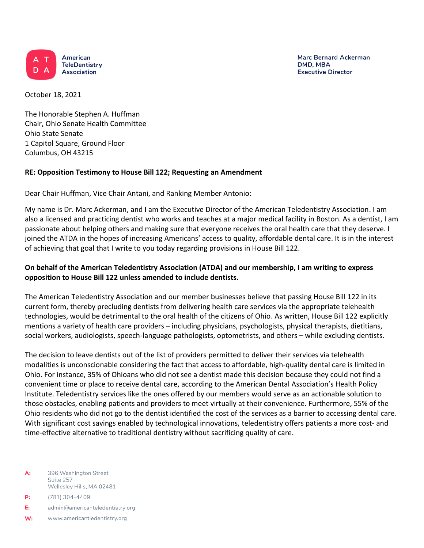

**Marc Bernard Ackerman** DMD, MBA **Executive Director** 

October 18, 2021

The Honorable Stephen A. Huffman Chair, Ohio Senate Health Committee Ohio State Senate 1 Capitol Square, Ground Floor Columbus, OH 43215

## **RE: Opposition Testimony to House Bill 122; Requesting an Amendment**

Dear Chair Huffman, Vice Chair Antani, and Ranking Member Antonio:

My name is Dr. Marc Ackerman, and I am the Executive Director of the American Teledentistry Association. I am also a licensed and practicing dentist who works and teaches at a major medical facility in Boston. As a dentist, I am passionate about helping others and making sure that everyone receives the oral health care that they deserve. I joined the ATDA in the hopes of increasing Americans' access to quality, affordable dental care. It is in the interest of achieving that goal that I write to you today regarding provisions in House Bill 122.

## **On behalf of the American Teledentistry Association (ATDA) and our membership, I am writing to express opposition to House Bill 122 unless amended to include dentists.**

The American Teledentistry Association and our member businesses believe that passing House Bill 122 in its current form, thereby precluding dentists from delivering health care services via the appropriate telehealth technologies, would be detrimental to the oral health of the citizens of Ohio. As written, House Bill 122 explicitly mentions a variety of health care providers – including physicians, psychologists, physical therapists, dietitians, social workers, audiologists, speech-language pathologists, optometrists, and others – while excluding dentists.

The decision to leave dentists out of the list of providers permitted to deliver their services via telehealth modalities is unconscionable considering the fact that access to affordable, high-quality dental care is limited in Ohio. For instance, 35% of Ohioans who did not see a dentist made this decision because they could not find a convenient time or place to receive dental care, according to the American Dental Association's Health Policy Institute. Teledentistry services like the ones offered by our members would serve as an actionable solution to those obstacles, enabling patients and providers to meet virtually at their convenience. Furthermore, 55% of the Ohio residents who did not go to the dentist identified the cost of the services as a barrier to accessing dental care. With significant cost savings enabled by technological innovations, teledentistry offers patients a more cost- and time-effective alternative to traditional dentistry without sacrificing quality of care.

396 Washington Street A: Suite 257 Wellesley Hills, MA 02481

- (781) 304-4409  $P:$
- E: admin@americanteledentistry.org
- W: www.americantledentistry.org